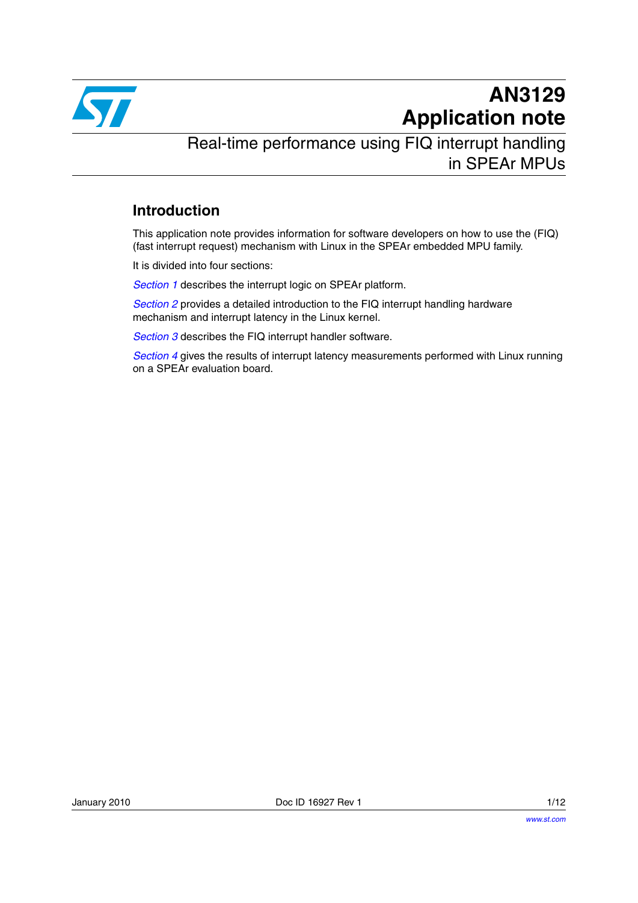

# **AN3129 Application note**

Real-time performance using FIQ interrupt handling in SPEAr MPUs

#### **Introduction**

This application note provides information for software developers on how to use the (FIQ) (fast interrupt request) mechanism with Linux in the SPEAr embedded MPU family.

It is divided into four sections:

*[Section 1](#page-1-0)* describes the interrupt logic on SPEAr platform.

*[Section 2](#page-2-0)* provides a detailed introduction to the FIQ interrupt handling hardware mechanism and interrupt latency in the Linux kernel.

*[Section 3](#page-3-0)* describes the FIQ interrupt handler software.

*[Section 4](#page-4-0)* gives the results of interrupt latency measurements performed with Linux running on a SPEAr evaluation board.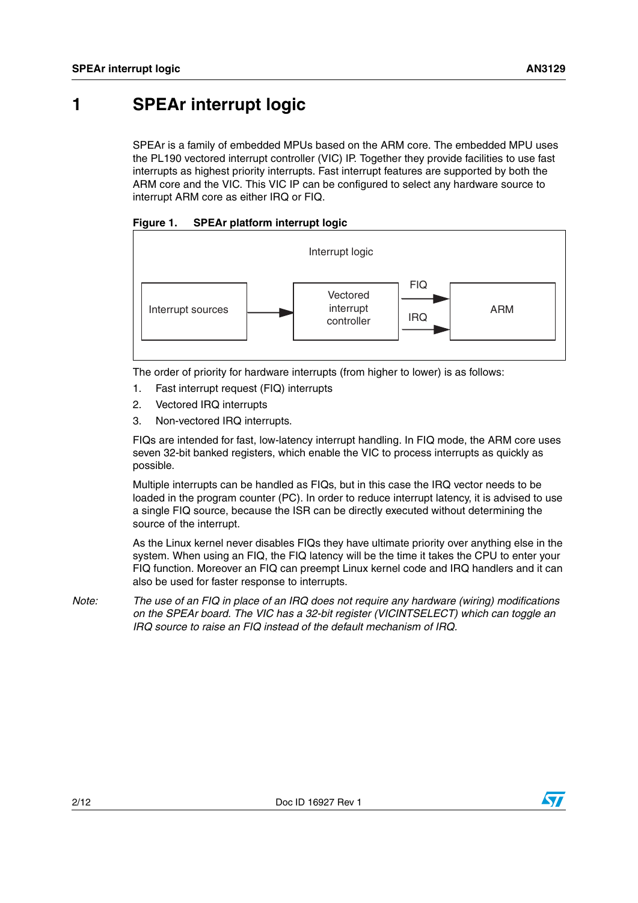### <span id="page-1-0"></span>**1 SPEAr interrupt logic**

SPEAr is a family of embedded MPUs based on the ARM core. The embedded MPU uses the PL190 vectored interrupt controller (VIC) IP. Together they provide facilities to use fast interrupts as highest priority interrupts. Fast interrupt features are supported by both the ARM core and the VIC. This VIC IP can be configured to select any hardware source to interrupt ARM core as either IRQ or FIQ.





The order of priority for hardware interrupts (from higher to lower) is as follows:

- 1. Fast interrupt request (FIQ) interrupts
- 2. Vectored IRQ interrupts
- 3. Non-vectored IRQ interrupts.

FIQs are intended for fast, low-latency interrupt handling. In FIQ mode, the ARM core uses seven 32-bit banked registers, which enable the VIC to process interrupts as quickly as possible.

Multiple interrupts can be handled as FIQs, but in this case the IRQ vector needs to be loaded in the program counter (PC). In order to reduce interrupt latency, it is advised to use a single FIQ source, because the ISR can be directly executed without determining the source of the interrupt.

As the Linux kernel never disables FIQs they have ultimate priority over anything else in the system. When using an FIQ, the FIQ latency will be the time it takes the CPU to enter your FIQ function. Moreover an FIQ can preempt Linux kernel code and IRQ handlers and it can also be used for faster response to interrupts.

*Note: The use of an FIQ in place of an IRQ does not require any hardware (wiring) modifications on the SPEAr board. The VIC has a 32-bit register (VICINTSELECT) which can toggle an IRQ source to raise an FIQ instead of the default mechanism of IRQ.*

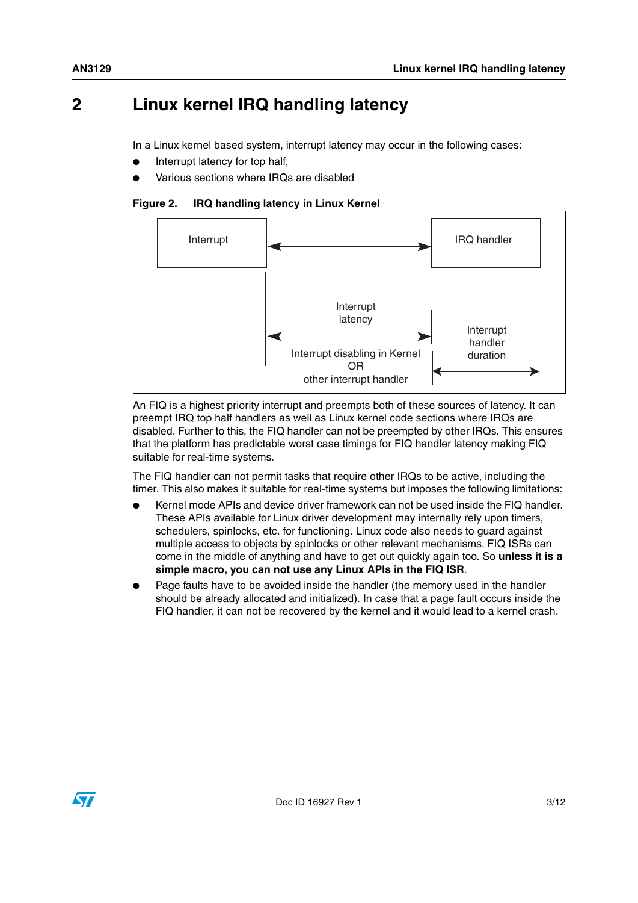### <span id="page-2-0"></span>**2 Linux kernel IRQ handling latency**

In a Linux kernel based system, interrupt latency may occur in the following cases:

- Interrupt latency for top half,
- Various sections where IRQs are disabled

**Figure 2. IRQ handling latency in Linux Kernel**



An FIQ is a highest priority interrupt and preempts both of these sources of latency. It can preempt IRQ top half handlers as well as Linux kernel code sections where IRQs are disabled. Further to this, the FIQ handler can not be preempted by other IRQs. This ensures that the platform has predictable worst case timings for FIQ handler latency making FIQ suitable for real-time systems.

The FIQ handler can not permit tasks that require other IRQs to be active, including the timer. This also makes it suitable for real-time systems but imposes the following limitations:

- Kernel mode APIs and device driver framework can not be used inside the FIQ handler. These APIs available for Linux driver development may internally rely upon timers, schedulers, spinlocks, etc. for functioning. Linux code also needs to guard against multiple access to objects by spinlocks or other relevant mechanisms. FIQ ISRs can come in the middle of anything and have to get out quickly again too. So **unless it is a simple macro, you can not use any Linux APIs in the FIQ ISR**.
- Page faults have to be avoided inside the handler (the memory used in the handler should be already allocated and initialized). In case that a page fault occurs inside the FIQ handler, it can not be recovered by the kernel and it would lead to a kernel crash.

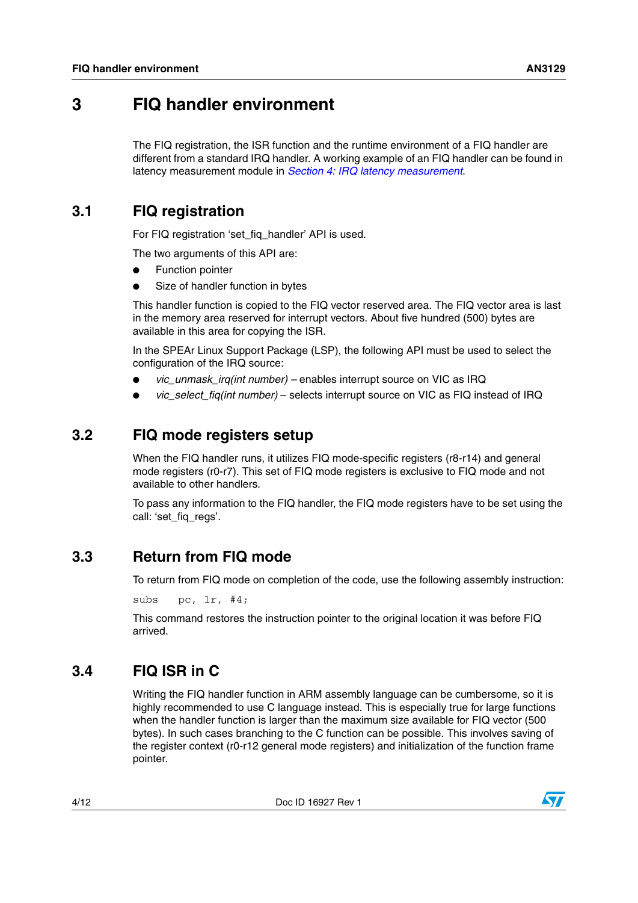### <span id="page-3-0"></span>**3 FIQ handler environment**

The FIQ registration, the ISR function and the runtime environment of a FIQ handler are different from a standard IRQ handler. A working example of an FIQ handler can be found in latency measurement module in *[Section 4: IRQ latency measurement](#page-4-0)*.

### **3.1 FIQ registration**

For FIQ registration 'set fig handler' API is used.

The two arguments of this API are:

- **Function pointer**
- Size of handler function in bytes

This handler function is copied to the FIQ vector reserved area. The FIQ vector area is last in the memory area reserved for interrupt vectors. About five hundred (500) bytes are available in this area for copying the ISR.

In the SPEAr Linux Support Package (LSP), the following API must be used to select the configuration of the IRQ source:

- *vic\_unmask\_irq(int number) –* enables interrupt source on VIC as IRQ
- *vic\_select\_fiq(int number)* selects interrupt source on VIC as FIQ instead of IRQ

#### **3.2 FIQ mode registers setup**

When the FIQ handler runs, it utilizes FIQ mode-specific registers (r8-r14) and general mode registers (r0-r7). This set of FIQ mode registers is exclusive to FIQ mode and not available to other handlers.

To pass any information to the FIQ handler, the FIQ mode registers have to be set using the call: 'set\_fig\_regs'.

#### **3.3 Return from FIQ mode**

To return from FIQ mode on completion of the code, use the following assembly instruction:

subs pc, lr, #4;

This command restores the instruction pointer to the original location it was before FIQ arrived.

#### **3.4 FIQ ISR in C**

Writing the FIQ handler function in ARM assembly language can be cumbersome, so it is highly recommended to use C language instead. This is especially true for large functions when the handler function is larger than the maximum size available for FIQ vector (500 bytes). In such cases branching to the C function can be possible. This involves saving of the register context (r0-r12 general mode registers) and initialization of the function frame pointer.

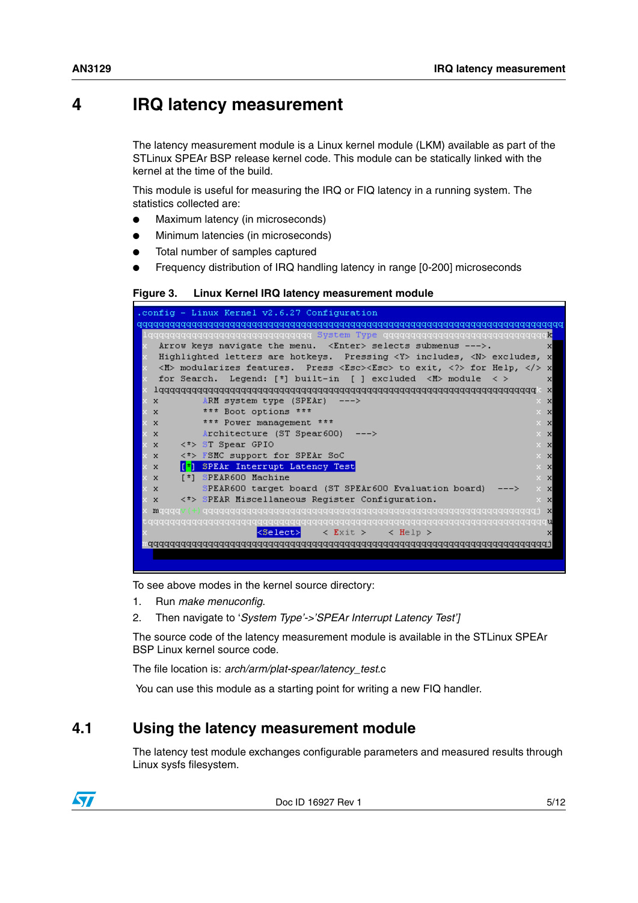### <span id="page-4-0"></span>**4 IRQ latency measurement**

The latency measurement module is a Linux kernel module (LKM) available as part of the STLinux SPEAr BSP release kernel code. This module can be statically linked with the kernel at the time of the build.

This module is useful for measuring the IRQ or FIQ latency in a running system. The statistics collected are:

- Maximum latency (in microseconds)
- Minimum latencies (in microseconds)
- Total number of samples captured
- Frequency distribution of IRQ handling latency in range [0-200] microseconds

#### **Figure 3. Linux Kernel IRQ latency measurement module**

| .config - Linux Kernel v2.6.27 Configuration                                                               |
|------------------------------------------------------------------------------------------------------------|
|                                                                                                            |
| lagaaaaaaaaaaaaaaaaaaaaaaaaaaaa System Type qaaaaaaaaaaaaaaaaaaaaaaaaaaaa                                  |
| Arrow keys navigate the menu. <enter> selects submenus ---&gt;.<br/><math>\mathbf{x}</math></enter>        |
| Highlighted letters are hotkeys. Pressing <y> includes, <n> excludes, x<br/>x.</n></y>                     |
| <m> modularizes features. Press <esc><esc> to exit, <? > for Help,  <!--<br-->x.</esc></esc></m>           |
| for Search. Legend: [*] built-in [ ] excluded <m> module<br/>x.<br/>x<br/><math>\langle \rangle</math></m> |
| $\mathbf{x}$                                                                                               |
| $\times$ X<br>ARM system type (SPEAr)<br>$X - X$<br>$---$ >                                                |
| *** Boot options ***<br>$X - X$<br>x x                                                                     |
| *** Power management ***<br>$X - X$<br>x x                                                                 |
| Architecture (ST Spear600) $-->$<br>x x<br>XX                                                              |
| $\langle * \rangle$ ST Spear GPIO<br>$X - X$<br>xх                                                         |
| FSMC support for SPEAr SoC<br>$\times$ $\times$<br>くすう<br>$X - X$                                          |
| SPEAr Interrupt Latency Test<br>ren<br>$X - X$<br>xх                                                       |
| SPEAR600 Machine<br>$5*1$<br>$X - X$<br>xх                                                                 |
| SPEAR600 target board (ST SPEAr600 Evaluation board)<br>x x<br>$X - X$                                     |
| <*> SPEAR Miscellaneous Register Configuration.<br>$X - X$<br>x x                                          |
| x maaaa                                                                                                    |
|                                                                                                            |
| kSelect>⊩<br>$\langle$ Exit $\rangle$<br>$\langle$ Help $\rangle$<br>x                                     |
|                                                                                                            |
|                                                                                                            |
|                                                                                                            |

To see above modes in the kernel source directory:

- 1. Run *make menuconfig*.
- 2. Then navigate to '*System Type'->'SPEAr Interrupt Latency Test']*

The source code of the latency measurement module is available in the STLinux SPEAr BSP Linux kernel source code.

The file location is: *arch/arm/plat-spear/latency\_test.*c

You can use this module as a starting point for writing a new FIQ handler.

#### **4.1 Using the latency measurement module**

The latency test module exchanges configurable parameters and measured results through Linux sysfs filesystem.



Doc ID 16927 Rev 1 5/12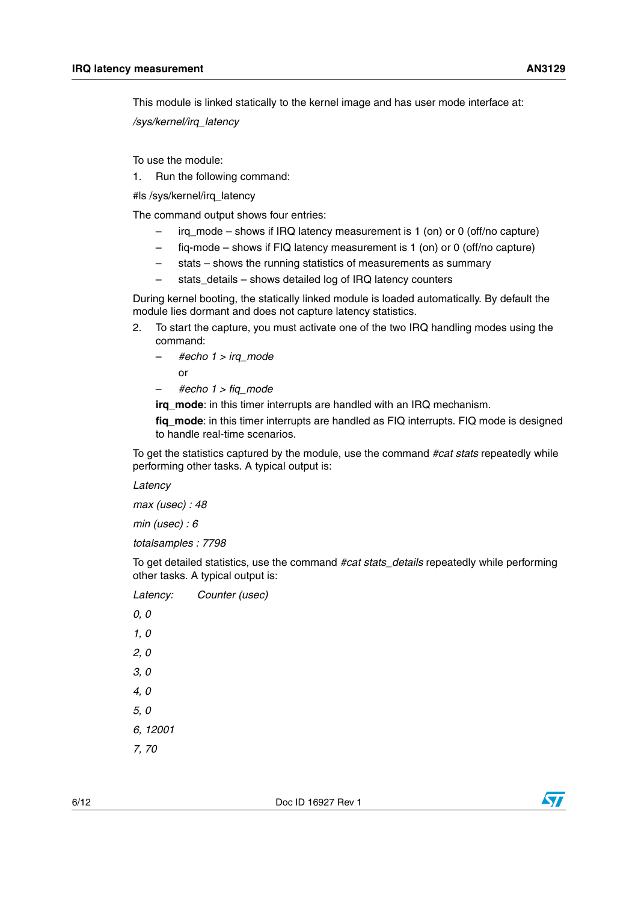This module is linked statically to the kernel image and has user mode interface at: */sys/kernel/irq\_latency*

To use the module:

1. Run the following command:

#ls /sys/kernel/irq\_latency

The command output shows four entries:

- irq\_mode shows if IRQ latency measurement is 1 (on) or 0 (off/no capture)
- fiq-mode shows if FIQ latency measurement is 1 (on) or 0 (off/no capture)
- stats shows the running statistics of measurements as summary
- stats\_details shows detailed log of IRQ latency counters

During kernel booting, the statically linked module is loaded automatically. By default the module lies dormant and does not capture latency statistics.

- 2. To start the capture, you must activate one of the two IRQ handling modes using the command:
	- *#echo 1 > irq\_mode*  or
	- *#echo 1 > fiq\_mode*

**irq\_mode**: in this timer interrupts are handled with an IRQ mechanism.

**fig mode**: in this timer interrupts are handled as FIQ interrupts. FIQ mode is designed to handle real-time scenarios.

To get the statistics captured by the module, use the command *#cat stats* repeatedly while performing other tasks. A typical output is:

*Latency*

*max (usec) : 48*

*min (usec) : 6*

*totalsamples : 7798*

To get detailed statistics, use the command *#cat stats\_details* repeatedly while performing other tasks. A typical output is:

| Latency: | Counter (usec) |
|----------|----------------|
| 0, 0     |                |
| 1, 0     |                |
| 2, 0     |                |
| 3,0      |                |
| 4,0      |                |
| 5, 0     |                |
| 6, 12001 |                |
| 7,70     |                |
|          |                |

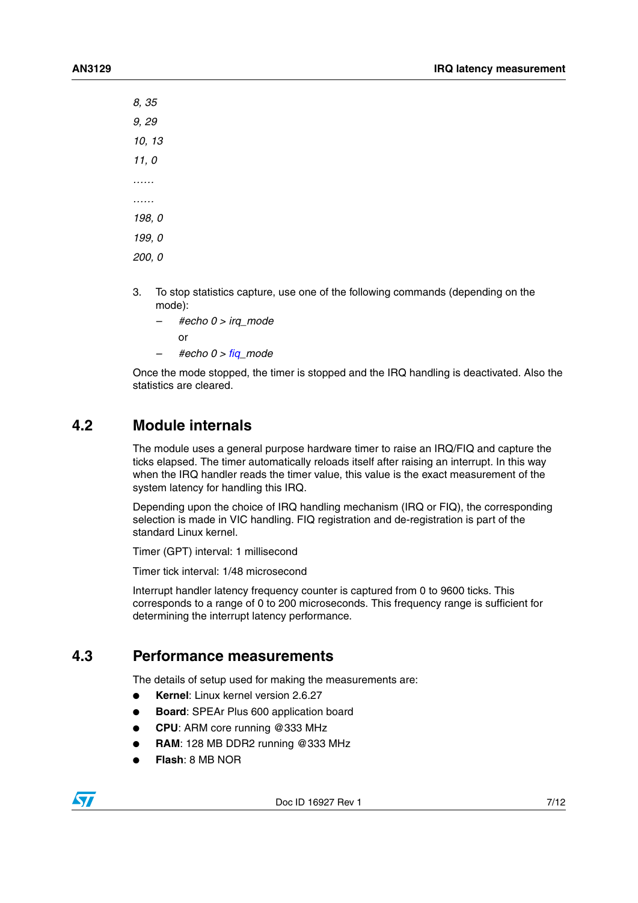*8, 35 9, 29 10, 13 11, 0 …… …… 198, 0 199, 0 200, 0*

- 3. To stop statistics capture, use one of the following commands (depending on the mode):
	- *#echo 0 > irq\_mode*
		- or
	- *#echo 0 > fiq\_mode*

Once the mode stopped, the timer is stopped and the IRQ handling is deactivated. Also the statistics are cleared.

#### **4.2 Module internals**

The module uses a general purpose hardware timer to raise an IRQ/FIQ and capture the ticks elapsed. The timer automatically reloads itself after raising an interrupt. In this way when the IRQ handler reads the timer value, this value is the exact measurement of the system latency for handling this IRQ.

Depending upon the choice of IRQ handling mechanism (IRQ or FIQ), the corresponding selection is made in VIC handling. FIQ registration and de-registration is part of the standard Linux kernel.

Timer (GPT) interval: 1 millisecond

Timer tick interval: 1/48 microsecond

Interrupt handler latency frequency counter is captured from 0 to 9600 ticks. This corresponds to a range of 0 to 200 microseconds. This frequency range is sufficient for determining the interrupt latency performance.

#### **4.3 Performance measurements**

The details of setup used for making the measurements are:

- **Kernel**: Linux kernel version 2.6.27
- **Board: SPEAr Plus 600 application board**
- **CPU**: ARM core running @333 MHz
- **RAM: 128 MB DDR2 running @333 MHz**
- **Flash**: 8 MB NOR

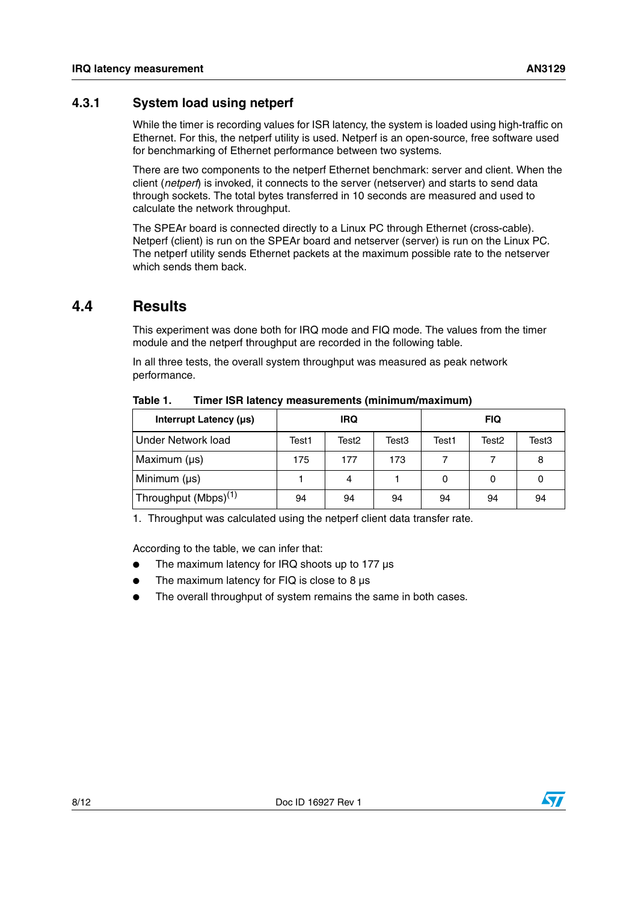#### **4.3.1 System load using netperf**

While the timer is recording values for ISR latency, the system is loaded using high-traffic on Ethernet. For this, the netperf utility is used. Netperf is an open-source, free software used for benchmarking of Ethernet performance between two systems.

There are two components to the netperf Ethernet benchmark: server and client. When the client (*netperf*) is invoked, it connects to the server (netserver) and starts to send data through sockets. The total bytes transferred in 10 seconds are measured and used to calculate the network throughput.

The SPEAr board is connected directly to a Linux PC through Ethernet (cross-cable). Netperf (client) is run on the SPEAr board and netserver (server) is run on the Linux PC. The netperf utility sends Ethernet packets at the maximum possible rate to the netserver which sends them back

#### **4.4 Results**

This experiment was done both for IRQ mode and FIQ mode. The values from the timer module and the netperf throughput are recorded in the following table.

In all three tests, the overall system throughput was measured as peak network performance.

| Interrupt Latency (µs)                        |       | <b>IRQ</b> |       |       | <b>FIQ</b> |       |
|-----------------------------------------------|-------|------------|-------|-------|------------|-------|
| Under Network load                            | Test1 | Test2      | Test3 | Test1 | Test2      | Test3 |
| Maximum $(\mu s)$                             | 175   | 177        | 173   |       |            | 8     |
| Minimum $(\mu s)$                             |       | 4          |       | 0     | 0          | 0     |
| <sup>1</sup> Throughput (Mbps) <sup>(1)</sup> | 94    | 94         | 94    | 94    | 94         | 94    |

Table 1. **Timer ISR latency measurements (minimum/maximum)** 

1. Throughput was calculated using the netperf client data transfer rate.

According to the table, we can infer that:

- The maximum latency for IRQ shoots up to 177  $\mu$ s
- The maximum latency for FIQ is close to 8  $\mu$ s
- The overall throughput of system remains the same in both cases.

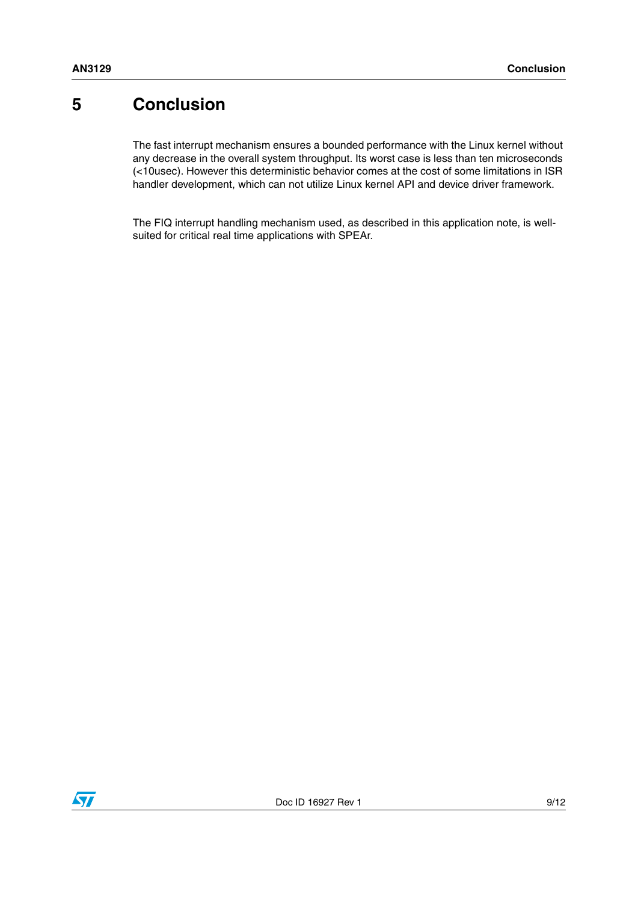## **5 Conclusion**

The fast interrupt mechanism ensures a bounded performance with the Linux kernel without any decrease in the overall system throughput. Its worst case is less than ten microseconds (<10usec). However this deterministic behavior comes at the cost of some limitations in ISR handler development, which can not utilize Linux kernel API and device driver framework.

The FIQ interrupt handling mechanism used, as described in this application note, is wellsuited for critical real time applications with SPEAr.

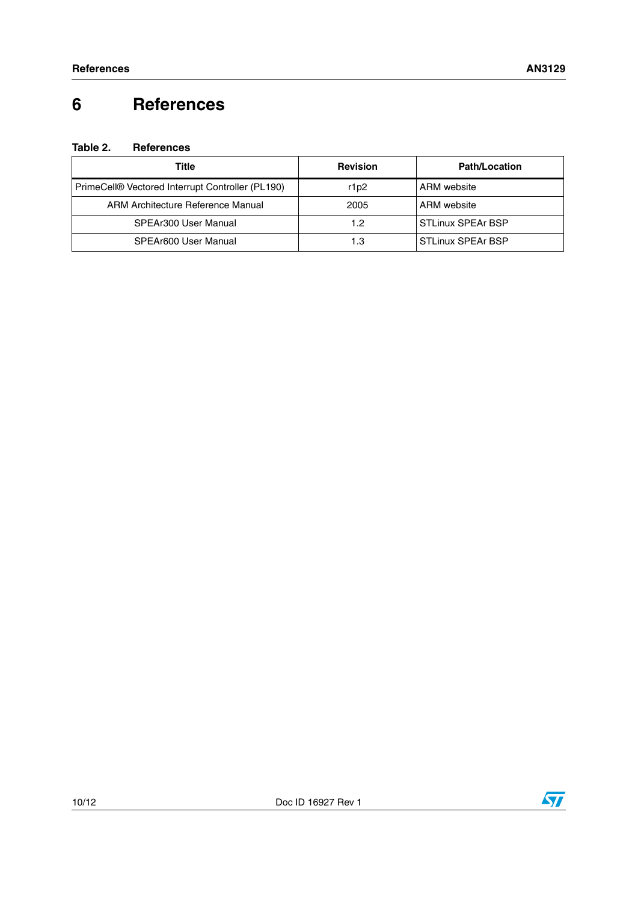# **6 References**

#### **Table 2. References**

| Title                                            | <b>Revision</b> | <b>Path/Location</b>     |
|--------------------------------------------------|-----------------|--------------------------|
| PrimeCell® Vectored Interrupt Controller (PL190) | r1p2            | ARM website              |
| ARM Architecture Reference Manual                | 2005            | ARM website              |
| SPEAr300 User Manual                             | 1.2             | <b>STLinux SPEAr BSP</b> |
| SPEAr600 User Manual                             | 1.3             | <b>STLinux SPEAr BSP</b> |

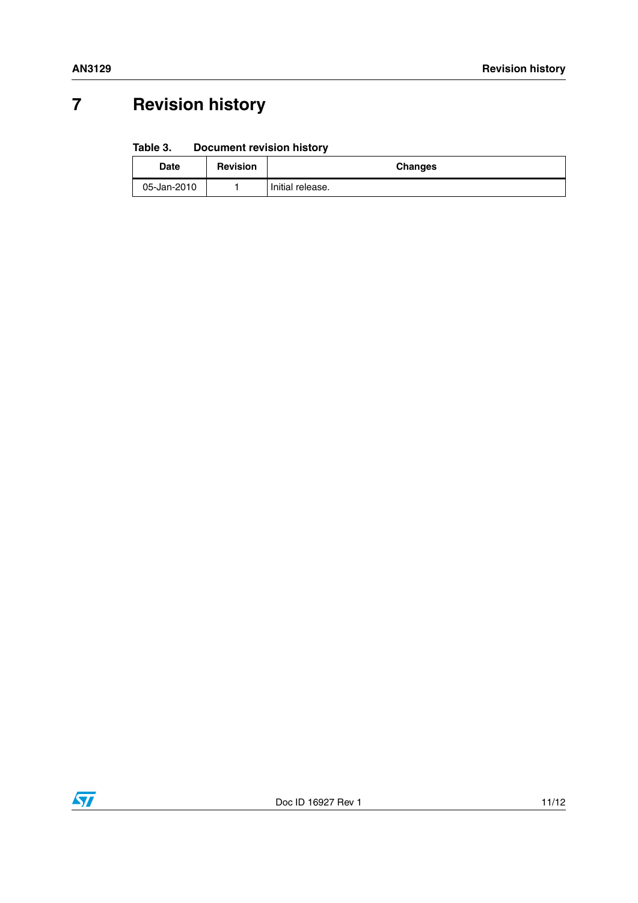# **7 Revision history**

#### Table 3. **Document revision history**

| <b>Date</b> | <b>Revision</b> | <b>Changes</b>   |
|-------------|-----------------|------------------|
| 05-Jan-2010 |                 | Initial release. |